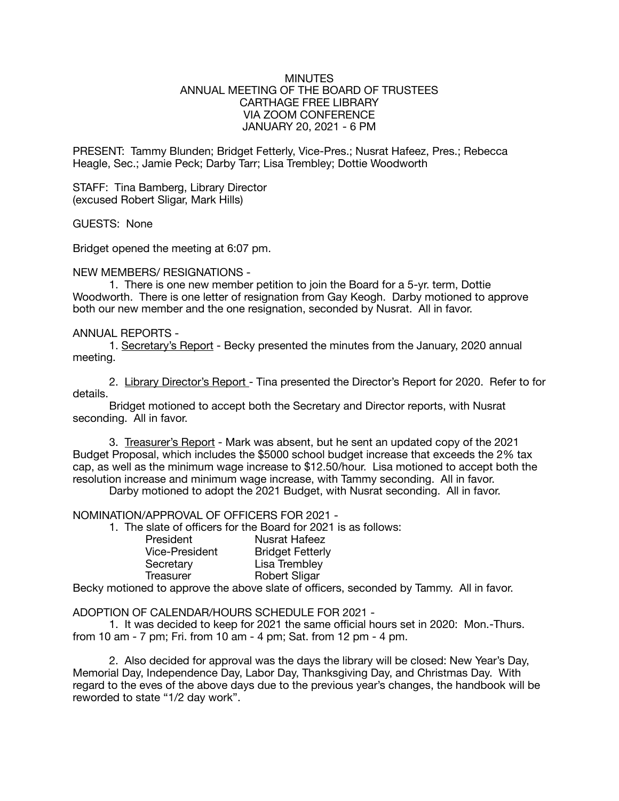## MINUTES ANNUAL MEETING OF THE BOARD OF TRUSTEES CARTHAGE FREE LIBRARY VIA ZOOM CONFERENCE JANUARY 20, 2021 - 6 PM

PRESENT: Tammy Blunden; Bridget Fetterly, Vice-Pres.; Nusrat Hafeez, Pres.; Rebecca Heagle, Sec.; Jamie Peck; Darby Tarr; Lisa Trembley; Dottie Woodworth

STAFF: Tina Bamberg, Library Director (excused Robert Sligar, Mark Hills)

GUESTS: None

Bridget opened the meeting at 6:07 pm.

## NEW MEMBERS/ RESIGNATIONS -

1. There is one new member petition to join the Board for a 5-yr. term, Dottie Woodworth. There is one letter of resignation from Gay Keogh. Darby motioned to approve both our new member and the one resignation, seconded by Nusrat. All in favor.

## ANNUAL REPORTS -

1. Secretary's Report - Becky presented the minutes from the January, 2020 annual meeting.

2. Library Director's Report - Tina presented the Director's Report for 2020. Refer to for details.

Bridget motioned to accept both the Secretary and Director reports, with Nusrat seconding. All in favor.

3. Treasurer's Report - Mark was absent, but he sent an updated copy of the 2021 Budget Proposal, which includes the \$5000 school budget increase that exceeds the 2% tax cap, as well as the minimum wage increase to \$12.50/hour. Lisa motioned to accept both the resolution increase and minimum wage increase, with Tammy seconding. All in favor.

Darby motioned to adopt the 2021 Budget, with Nusrat seconding. All in favor.

## NOMINATION/APPROVAL OF OFFICERS FOR 2021 -

1. The slate of officers for the Board for 2021 is as follows:

|  | President             |  | <b>Nusrat Hafeez</b>    |
|--|-----------------------|--|-------------------------|
|  | <b>Vice-President</b> |  | <b>Bridget Fetterly</b> |
|  | Secretary             |  | Lisa Trembley           |
|  | Treasurer             |  | <b>Robert Sligar</b>    |
|  |                       |  |                         |

Becky motioned to approve the above slate of officers, seconded by Tammy. All in favor.

#### ADOPTION OF CALENDAR/HOURS SCHEDULE FOR 2021 -

1. It was decided to keep for 2021 the same official hours set in 2020: Mon.-Thurs. from 10 am - 7 pm; Fri. from 10 am - 4 pm; Sat. from 12 pm - 4 pm.

2. Also decided for approval was the days the library will be closed: New Year's Day, Memorial Day, Independence Day, Labor Day, Thanksgiving Day, and Christmas Day. With regard to the eves of the above days due to the previous year's changes, the handbook will be reworded to state "1/2 day work".